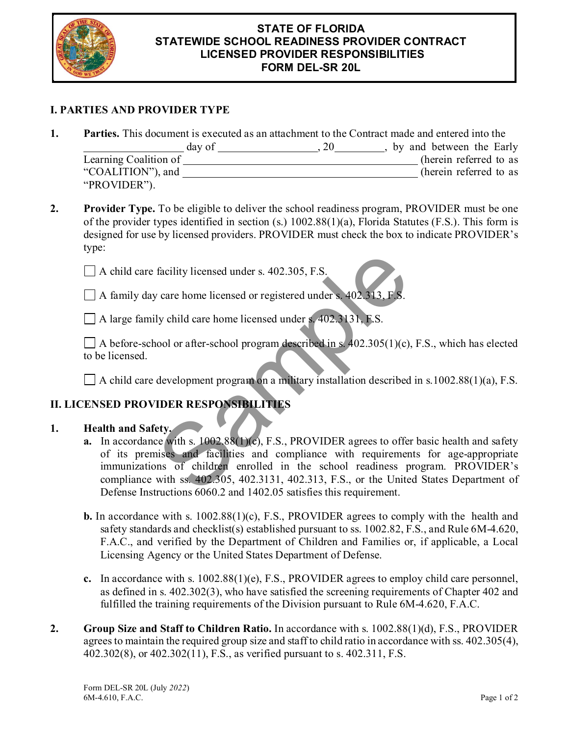

#### **STATE OF FLORIDA STATEWIDE SCHOOL READINESS PROVIDER CONTRACT LICENSED PROVIDER RESPONSIBILITIES FORM DEL-SR 20L**

## **I. PARTIES AND PROVIDER TYPE**

**1. Parties.** This document is executed as an attachment to the Contract made and entered into the

|                       | day of | <b>20</b> | by and between the Early |
|-----------------------|--------|-----------|--------------------------|
| Learning Coalition of |        |           | (herein referred to as   |
| "COALITION"), and     |        |           | (herein referred to as   |
| "PROVIDER").          |        |           |                          |

**2. Provider Type.** To be eligible to deliver the school readiness program, PROVIDER must be one of the provider types identified in section (s.) 1002.88(1)(a), Florida Statutes (F.S.). This form is designed for use by licensed providers. PROVIDER must check the box to indicate PROVIDER's type:

A child care facility licensed under s. 402.305, F.S.

 $\Box$  A family day care home licensed or registered under s. 402.313, F.S.

A large family child care home licensed under s. 402.3131, F.S.

 $\Box$  A before-school or after-school program described in s. 402.305(1)(c), F.S., which has elected to be licensed.

 $\Box$  A child care development program on a military installation described in s.1002.88(1)(a), F.S.

# **II. LICENSED PROVIDER RESPONSIBILITIES**

### **1. Health and Safety.**

- **a.** In accordance with s. 1002.88(1)(c), F.S., PROVIDER agrees to offer basic health and safety of its premises and facilities and compliance with requirements for age-appropriate immunizations of children enrolled in the school readiness program. PROVIDER's compliance with ss. 402.305, 402.3131, 402.313, F.S., or the United States Department of Defense Instructions 6060.2 and 1402.05 satisfies this requirement. facility licensed under s. 402.305, F.S.<br>
v care home licensed or registered under s. 402.3131, F.S.<br>
ly child care home licensed under s. 402.3131, F.S.<br>
nool or after-school program described in s. 402.305(1)(c).<br>
devel
- **b.** In accordance with s. 1002.88(1)(c), F.S., PROVIDER agrees to comply with the health and safety standards and checklist(s) established pursuant to ss. 1002.82, F.S., and Rule 6M-4.620, F.A.C., and verified by the Department of Children and Families or, if applicable, a Local Licensing Agency or the United States Department of Defense.
- **c.** In accordance with s. 1002.88(1)(e), F.S., PROVIDER agrees to employ child care personnel, as defined in s. 402.302(3), who have satisfied the screening requirements of Chapter 402 and fulfilled the training requirements of the Division pursuant to Rule 6M-4.620, F.A.C.
- **2. Group Size and Staff to Children Ratio.** In accordance with s. 1002.88(1)(d), F.S., PROVIDER agrees to maintain the required group size and staff to child ratio in accordance with ss. 402.305(4), 402.302(8), or 402.302(11), F.S., as verified pursuant to s. 402.311, F.S.